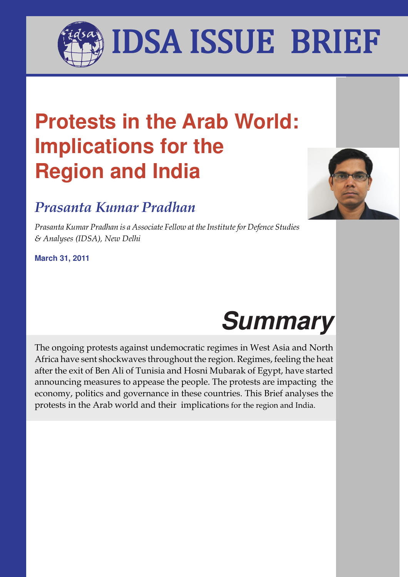I AGAINCA ICCHIE DDIEH IDSA ISSUE BRIEF

# **Protests in the Arab World: Implications for the Region and India**

# Prasanta Kumar Pradhan

Prasanta Kumar Pradhan is a Associate Fellow at the Institute for Defence Studies & Analyses (IDSA), New Delhi

**March 31, 2011**





The ongoing protests against undemocratic regimes in West Asia and North Africa have sent shockwaves throughout the region. Regimes, feeling the heat after the exit of Ben Ali of Tunisia and Hosni Mubarak of Egypt, have started announcing measures to appease the people. The protests are impacting the economy, politics and governance in these countries. This Brief analyses the protests in the Arab world and their implications for the region and India.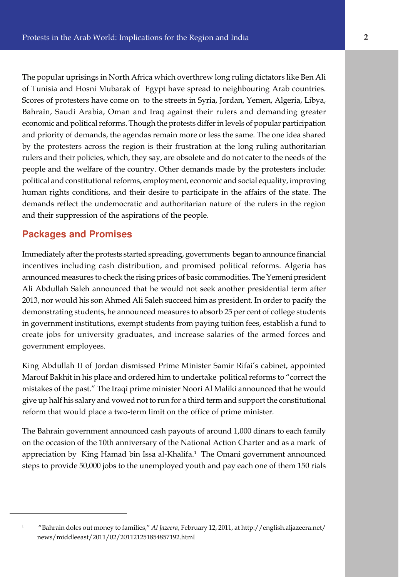Bahrain, Saudi Arabia, Oman and Iraq against their rulers and demanding greater The popular uprisings in North Africa which overthrew long ruling dictators like Ben Ali of Tunisia and Hosni Mubarak of Egypt have spread to neighbouring Arab countries. Scores of protesters have come on to the streets in Syria, Jordan, Yemen, Algeria, Libya, economic and political reforms. Though the protests differ in levels of popular participation and priority of demands, the agendas remain more or less the same. The one idea shared by the protesters across the region is their frustration at the long ruling authoritarian rulers and their policies, which, they say, are obsolete and do not cater to the needs of the people and the welfare of the country. Other demands made by the protesters include: political and constitutional reforms, employment, economic and social equality, improving human rights conditions, and their desire to participate in the affairs of the state. The demands reflect the undemocratic and authoritarian nature of the rulers in the region and their suppression of the aspirations of the people.

## **Packages and Promises**

1

Immediately after the protests started spreading, governments began to announce financial incentives including cash distribution, and promised political reforms. Algeria has announced measures to check the rising prices of basic commodities. The Yemeni president Ali Abdullah Saleh announced that he would not seek another presidential term after 2013, nor would his son Ahmed Ali Saleh succeed him as president. In order to pacify the demonstrating students, he announced measures to absorb 25 per cent of college students in government institutions, exempt students from paying tuition fees, establish a fund to create jobs for university graduates, and increase salaries of the armed forces and government employees.

King Abdullah II of Jordan dismissed Prime Minister Samir Rifai's cabinet, appointed Marouf Bakhit in his place and ordered him to undertake political reforms to "correct the mistakes of the past." The Iraqi prime minister Noori Al Maliki announced that he would give up half his salary and vowed not to run for a third term and support the constitutional reform that would place a two-term limit on the office of prime minister.

The Bahrain government announced cash payouts of around 1,000 dinars to each family on the occasion of the 10th anniversary of the National Action Charter and as a mark of appreciation by King Hamad bin Issa al-Khalifa.<sup>1</sup> The Omani government announced steps to provide 50,000 jobs to the unemployed youth and pay each one of them 150 rials

 <sup>&</sup>quot;Bahrain doles out money to families," Al Jazeera, February 12, 2011, at http://english.aljazeera.net/ news/middleeast/2011/02/201121251854857192.html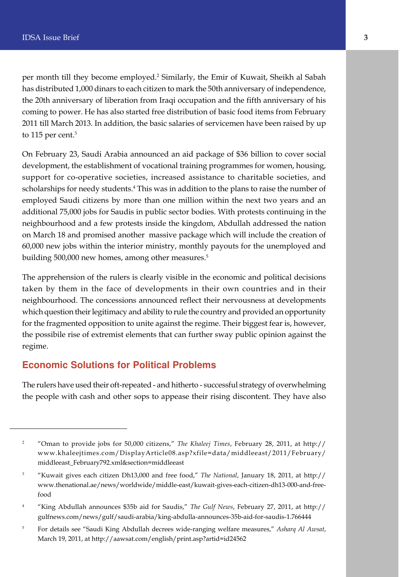per month till they become employed.<sup>2</sup> Similarly, the Emir of Kuwait, Sheikh al Sabah has distributed 1,000 dinars to each citizen to mark the 50th anniversary of independence, the 20th anniversary of liberation from Iraqi occupation and the fifth anniversary of his coming to power. He has also started free distribution of basic food items from February 2011 till March 2013. In addition, the basic salaries of servicemen have been raised by up to 115 per cent.<sup>3</sup>

On February 23, Saudi Arabia announced an aid package of \$36 billion to cover social development, the establishment of vocational training programmes for women, housing, support for co-operative societies, increased assistance to charitable societies, and scholarships for needy students.<sup>4</sup> This was in addition to the plans to raise the number of employed Saudi citizens by more than one million within the next two years and an additional 75,000 jobs for Saudis in public sector bodies. With protests continuing in the neighbourhood and a few protests inside the kingdom, Abdullah addressed the nation on March 18 and promised another massive package which will include the creation of 60,000 new jobs within the interior ministry, monthly payouts for the unemployed and building 500,000 new homes, among other measures.<sup>5</sup>

The apprehension of the rulers is clearly visible in the economic and political decisions taken by them in the face of developments in their own countries and in their neighbourhood. The concessions announced reflect their nervousness at developments which question their legitimacy and ability to rule the country and provided an opportunity for the fragmented opposition to unite against the regime. Their biggest fear is, however, the possibile rise of extremist elements that can further sway public opinion against the regime.

# **Economic Solutions for Political Problems**

The rulers have used their oft-repeated - and hitherto - successful strategy of overwhelming the people with cash and other sops to appease their rising discontent. They have also

<sup>&</sup>lt;sup>2</sup> "Oman to provide jobs for 50,000 citizens," The Khaleej Times, February 28, 2011, at http:// www.khaleejtimes.com/DisplayArticle08.asp?xfile=data/middleeast/2011/February/ middleeast\_February792.xml&section=middleeast

<sup>&</sup>lt;sup>3</sup> "Kuwait gives each citizen Dh13,000 and free food," The National, January 18, 2011, at http:// www.thenational.ae/news/worldwide/middle-east/kuwait-gives-each-citizen-dh13-000-and-freefood

<sup>4</sup> "King Abdullah announces \$35b aid for Saudis," The Gulf News, February 27, 2011, at http:// gulfnews.com/news/gulf/saudi-arabia/king-abdulla-announces-35b-aid-for-saudis-1.766444

<sup>&</sup>lt;sup>5</sup> For details see "Saudi King Abdullah decrees wide-ranging welfare measures," Asharq Al Awsat, March 19, 2011, at http://aawsat.com/english/print.asp?artid=id24562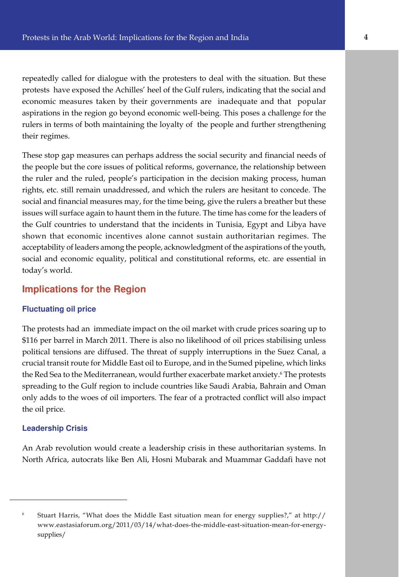e aspirations in the region go beyond economic well-being. This poses a challenge for the repeatedly called for dialogue with the protesters to deal with the situation. But these protests have exposed the Achilles' heel of the Gulf rulers, indicating that the social and economic measures taken by their governments are inadequate and that popular rulers in terms of both maintaining the loyalty of the people and further strengthening their regimes.

These stop gap measures can perhaps address the social security and financial needs of the people but the core issues of political reforms, governance, the relationship between the ruler and the ruled, people's participation in the decision making process, human rights, etc. still remain unaddressed, and which the rulers are hesitant to concede. The social and financial measures may, for the time being, give the rulers a breather but these issues will surface again to haunt them in the future. The time has come for the leaders of the Gulf countries to understand that the incidents in Tunisia, Egypt and Libya have shown that economic incentives alone cannot sustain authoritarian regimes. The acceptability of leaders among the people, acknowledgment of the aspirations of the youth, social and economic equality, political and constitutional reforms, etc. are essential in today's world.

## **Implications for the Region**

#### **Fluctuating oil price**

The protests had an immediate impact on the oil market with crude prices soaring up to \$116 per barrel in March 2011. There is also no likelihood of oil prices stabilising unless political tensions are diffused. The threat of supply interruptions in the Suez Canal, a crucial transit route for Middle East oil to Europe, and in the Sumed pipeline, which links the Red Sea to the Mediterranean, would further exacerbate market anxiety.<sup>6</sup> The protests spreading to the Gulf region to include countries like Saudi Arabia, Bahrain and Oman only adds to the woes of oil importers. The fear of a protracted conflict will also impact the oil price.

#### **Leadership Crisis**

An Arab revolution would create a leadership crisis in these authoritarian systems. In North Africa, autocrats like Ben Ali, Hosni Mubarak and Muammar Gaddafi have not

<sup>6</sup> Stuart Harris, "What does the Middle East situation mean for energy supplies?," at http:// www.eastasiaforum.org/2011/03/14/what-does-the-middle-east-situation-mean-for-energysupplies/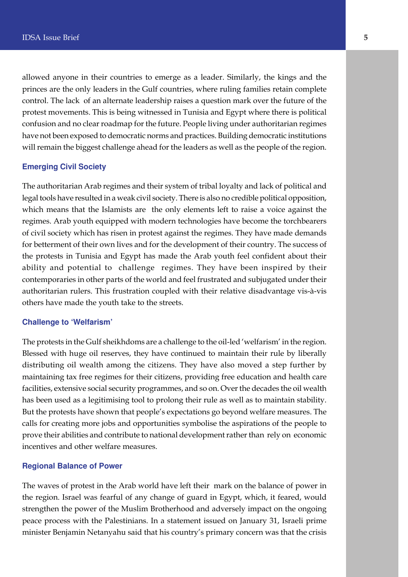allowed anyone in their countries to emerge as a leader. Similarly, the kings and the princes are the only leaders in the Gulf countries, where ruling families retain complete control. The lack of an alternate leadership raises a question mark over the future of the protest movements. This is being witnessed in Tunisia and Egypt where there is political confusion and no clear roadmap for the future. People living under authoritarian regimes have not been exposed to democratic norms and practices. Building democratic institutions will remain the biggest challenge ahead for the leaders as well as the people of the region.

#### **Emerging Civil Society**

The authoritarian Arab regimes and their system of tribal loyalty and lack of political and legal tools have resulted in a weak civil society. There is also no credible political opposition, which means that the Islamists are the only elements left to raise a voice against the regimes. Arab youth equipped with modern technologies have become the torchbearers of civil society which has risen in protest against the regimes. They have made demands for betterment of their own lives and for the development of their country. The success of the protests in Tunisia and Egypt has made the Arab youth feel confident about their ability and potential to challenge regimes. They have been inspired by their contemporaries in other parts of the world and feel frustrated and subjugated under their authoritarian rulers. This frustration coupled with their relative disadvantage vis-à-vis others have made the youth take to the streets.

#### **Challenge to 'Welfarism'**

The protests in the Gulf sheikhdoms are a challenge to the oil-led 'welfarism' in the region. Blessed with huge oil reserves, they have continued to maintain their rule by liberally distributing oil wealth among the citizens. They have also moved a step further by maintaining tax free regimes for their citizens, providing free education and health care facilities, extensive social security programmes, and so on. Over the decades the oil wealth has been used as a legitimising tool to prolong their rule as well as to maintain stability. But the protests have shown that people's expectations go beyond welfare measures. The calls for creating more jobs and opportunities symbolise the aspirations of the people to prove their abilities and contribute to national development rather than rely on economic incentives and other welfare measures.

#### **Regional Balance of Power**

The waves of protest in the Arab world have left their mark on the balance of power in the region. Israel was fearful of any change of guard in Egypt, which, it feared, would strengthen the power of the Muslim Brotherhood and adversely impact on the ongoing peace process with the Palestinians. In a statement issued on January 31, Israeli prime minister Benjamin Netanyahu said that his country's primary concern was that the crisis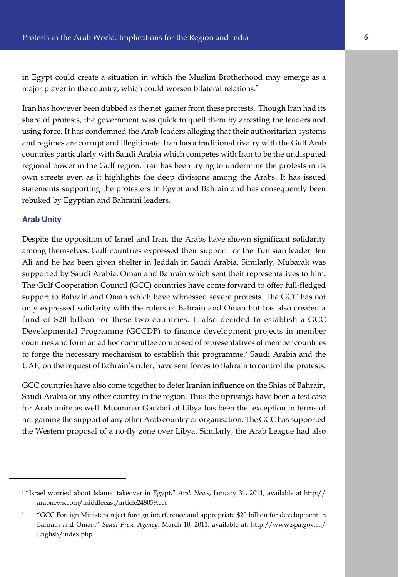in Egypt could create a situation in which the Muslim Brotherhood may emerge as a major player in the country, which could worsen bilateral relations.<sup>7</sup>

share of protests, the government was quick to quell them by arresting the leaders and Iran has however been dubbed as the net gainer from these protests. Though Iran had its using force. It has condemned the Arab leaders alleging that their authoritarian systems and regimes are corrupt and illegitimate. Iran has a traditional rivalry with the Gulf Arab countries particularly with Saudi Arabia which competes with Iran to be the undisputed regional power in the Gulf region. Iran has been trying to undermine the protests in its own streets even as it highlights the deep divisions among the Arabs. It has issued statements supporting the protesters in Egypt and Bahrain and has consequently been rebuked by Egyptian and Bahraini leaders.

#### **Arab Unity**

Despite the opposition of Israel and Iran, the Arabs have shown significant solidarity among themselves. Gulf countries expressed their support for the Tunisian leader Ben Ali and he has been given shelter in Jeddah in Saudi Arabia. Similarly, Mubarak was supported by Saudi Arabia, Oman and Bahrain which sent their representatives to him. The Gulf Cooperation Council (GCC) countries have come forward to offer full-fledged support to Bahrain and Oman which have witnessed severe protests. The GCC has not only expressed solidarity with the rulers of Bahrain and Oman but has also created a fund of \$20 billion for these two countries. It also decided to establish a GCC Developmental Programme (GCCDP) to finance development projects in member countries and form an ad hoc committee composed of representatives of member countries to forge the necessary mechanism to establish this programme.<sup>8</sup> Saudi Arabia and the UAE, on the request of Bahrain's ruler, have sent forces to Bahrain to control the protests.

GCC countries have also come together to deter Iranian influence on the Shias of Bahrain, Saudi Arabia or any other country in the region. Thus the uprisings have been a test case for Arab unity as well. Muammar Gaddafi of Libya has been the exception in terms of not gaining the support of any other Arab country or organisation. The GCC has supported the Western proposal of a no-fly zone over Libya. Similarly, the Arab League had also

<sup>&</sup>lt;sup>7</sup> "Israel worried about Islamic takeover in Egypt," *Arab News,* January 31, 2011, available at http:// arabnews.com/middleeast/article248059.ece

<sup>8</sup> "GCC Foreign Ministers reject foreign interference and appropriate \$20 billion for development in Bahrain and Oman," Saudi Press Agency, March 10, 2011, available at, http://www.spa.gov.sa/ English/index.php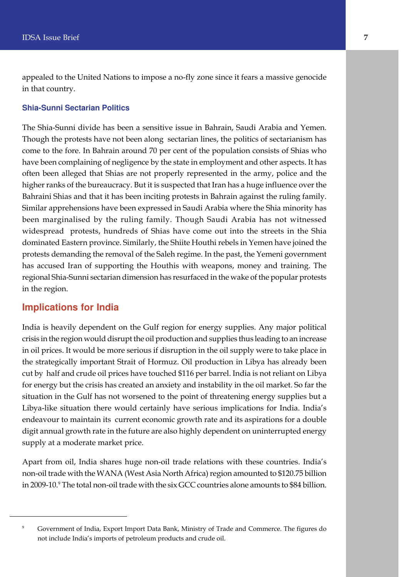appealed to the United Nations to impose a no-fly zone since it fears a massive genocide in that country.

#### **Shia-Sunni Sectarian Politics**

The Shia-Sunni divide has been a sensitive issue in Bahrain, Saudi Arabia and Yemen. Though the protests have not been along sectarian lines, the politics of sectarianism has come to the fore. In Bahrain around 70 per cent of the population consists of Shias who have been complaining of negligence by the state in employment and other aspects. It has often been alleged that Shias are not properly represented in the army, police and the higher ranks of the bureaucracy. But it is suspected that Iran has a huge influence over the Bahraini Shias and that it has been inciting protests in Bahrain against the ruling family. Similar apprehensions have been expressed in Saudi Arabia where the Shia minority has been marginalised by the ruling family. Though Saudi Arabia has not witnessed widespread protests, hundreds of Shias have come out into the streets in the Shia dominated Eastern province. Similarly, the Shiite Houthi rebels in Yemen have joined the protests demanding the removal of the Saleh regime. In the past, the Yemeni government has accused Iran of supporting the Houthis with weapons, money and training. The regional Shia-Sunni sectarian dimension has resurfaced in the wake of the popular protests in the region.

#### **Implications for India**

India is heavily dependent on the Gulf region for energy supplies. Any major political crisis in the region would disrupt the oil production and supplies thus leading to an increase in oil prices. It would be more serious if disruption in the oil supply were to take place in the strategically important Strait of Hormuz. Oil production in Libya has already been cut by half and crude oil prices have touched \$116 per barrel. India is not reliant on Libya for energy but the crisis has created an anxiety and instability in the oil market. So far the situation in the Gulf has not worsened to the point of threatening energy supplies but a Libya-like situation there would certainly have serious implications for India. India's endeavour to maintain its current economic growth rate and its aspirations for a double digit annual growth rate in the future are also highly dependent on uninterrupted energy supply at a moderate market price.

Apart from oil, India shares huge non-oil trade relations with these countries. India's non-oil trade with the WANA (West Asia North Africa) region amounted to \$120.75 billion in 2009-10.<sup>9</sup> The total non-oil trade with the six GCC countries alone amounts to \$84 billion.

<sup>&</sup>lt;sup>9</sup> Government of India, Export Import Data Bank, Ministry of Trade and Commerce. The figures do not include India's imports of petroleum products and crude oil.